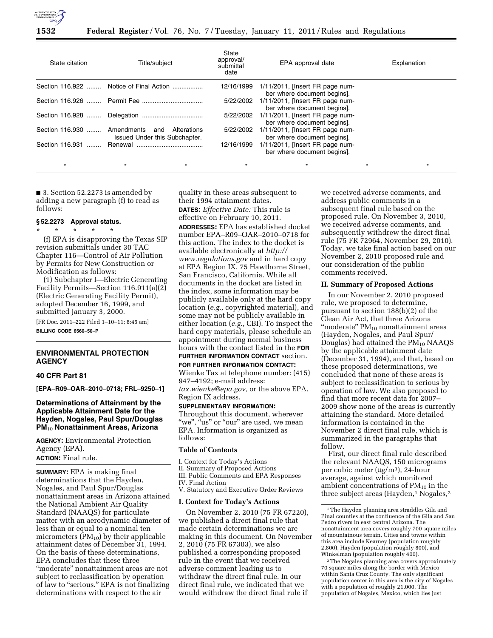

## **Federal Register** / Vol. 76, No. 7 / Tuesday, January 11, 2011 / Rules and Regulations

| State citation              | Title/subject                                       | State<br>approval/<br>submittal<br>date | EPA approval date                                                 | Explanation |
|-----------------------------|-----------------------------------------------------|-----------------------------------------|-------------------------------------------------------------------|-------------|
|                             | Section 116.922  Notice of Final Action             | 12/16/1999                              | $1/11/2011$ , [Insert FR page num-<br>ber where document begins]. |             |
|                             |                                                     | 5/22/2002                               | 1/11/2011, [Insert FR page num-<br>ber where document begins].    |             |
|                             |                                                     | 5/22/2002                               | 1/11/2011, [Insert FR page num-<br>ber where document begins].    |             |
| Section 116.930  Amendments | Alterations<br>and<br>Issued Under this Subchapter. | 5/22/2002                               | 1/11/2011, [Insert FR page num-<br>ber where document begins].    |             |
| Section 116.931             |                                                     | 12/16/1999                              | 1/11/2011, [Insert FR page num-<br>ber where document begins].    |             |
| $\star$                     | $\star$                                             | $\star$                                 |                                                                   | $\star$     |

■ 3. Section 52.2273 is amended by adding a new paragraph (f) to read as follows:

# **§ 52.2273 Approval status.**

\* \* \* \* \* (f) EPA is disapproving the Texas SIP revision submittals under 30 TAC Chapter 116—Control of Air Pollution by Permits for New Construction or Modification as follows:

(1) Subchapter I—Electric Generating Facility Permits—Section 116.911(a)(2) (Electric Generating Facility Permit), adopted December 16, 1999, and submitted January 3, 2000.

[FR Doc. 2011–222 Filed 1–10–11; 8:45 am] **BILLING CODE 6560–50–P** 

# **ENVIRONMENTAL PROTECTION AGENCY**

#### **40 CFR Part 81**

**[EPA–R09–OAR–2010–0718; FRL–9250–1]** 

# **Determinations of Attainment by the Applicable Attainment Date for the Hayden, Nogales, Paul Spur/Douglas PM**10 **Nonattainment Areas, Arizona**

**AGENCY:** Environmental Protection Agency (EPA). **ACTION:** Final rule.

**SUMMARY:** EPA is making final determinations that the Hayden, Nogales, and Paul Spur/Douglas nonattainment areas in Arizona attained the National Ambient Air Quality Standard (NAAQS) for particulate matter with an aerodynamic diameter of less than or equal to a nominal ten micrometers  $(PM_{10})$  by their applicable attainment dates of December 31, 1994. On the basis of these determinations, EPA concludes that these three ''moderate'' nonattainment areas are not subject to reclassification by operation of law to "serious." EPA is not finalizing determinations with respect to the air

quality in these areas subsequent to their 1994 attainment dates.

**DATES:** *Effective Date:* This rule is effective on February 10, 2011. **ADDRESSES:** EPA has established docket number EPA–R09–OAR–2010–0718 for this action. The index to the docket is available electronically at *[http://](http://www.regulations.gov)  [www.regulations.gov](http://www.regulations.gov)* and in hard copy at EPA Region IX, 75 Hawthorne Street, San Francisco, California. While all documents in the docket are listed in the index, some information may be publicly available only at the hard copy location (*e.g.,* copyrighted material), and some may not be publicly available in either location (*e.g.,* CBI). To inspect the hard copy materials, please schedule an appointment during normal business hours with the contact listed in the **FOR**

#### **FURTHER INFORMATION CONTACT** section.

**FOR FURTHER INFORMATION CONTACT:** 

Wienke Tax at telephone number: (415) 947–4192; e-mail address:

*[tax.wienke@epa.gov,](mailto:tax.wienke@epa.gov)* or the above EPA, Region IX address.

#### **SUPPLEMENTARY INFORMATION:**

Throughout this document, wherever "we", "us" or "our" are used, we mean EPA. Information is organized as follows:

# **Table of Contents**

- I. Context for Today's Actions
- II. Summary of Proposed Actions
- III. Public Comments and EPA Responses IV. Final Action
- V. Statutory and Executive Order Reviews

#### **I. Context for Today's Actions**

On November 2, 2010 (75 FR 67220), we published a direct final rule that made certain determinations we are making in this document. On November 2, 2010 (75 FR 67303), we also published a corresponding proposed rule in the event that we received adverse comment leading us to withdraw the direct final rule. In our direct final rule, we indicated that we would withdraw the direct final rule if

we received adverse comments, and address public comments in a subsequent final rule based on the proposed rule. On November 3, 2010, we received adverse comments, and subsequently withdrew the direct final rule (75 FR 72964, November 29, 2010). Today, we take final action based on our November 2, 2010 proposed rule and our consideration of the public comments received.

#### **II. Summary of Proposed Actions**

In our November 2, 2010 proposed rule, we proposed to determine, pursuant to section 188(b)(2) of the Clean Air Act, that three Arizona "moderate" PM<sub>10</sub> nonattainment areas (Hayden, Nogales, and Paul Spur/ Douglas) had attained the  $PM_{10}$  NAAQS by the applicable attainment date (December 31, 1994), and that, based on these proposed determinations, we concluded that none of these areas is subject to reclassification to serious by operation of law. We also proposed to find that more recent data for 2007– 2009 show none of the areas is currently attaining the standard. More detailed information is contained in the November 2 direct final rule, which is summarized in the paragraphs that follow.

First, our direct final rule described the relevant NAAQS, 150 micrograms per cubic meter (μg/m3), 24-hour average, against which monitored ambient concentrations of  $PM_{10}$  in the three subject areas (Hayden, $1$  Nogales, $2$ 

2The Nogales planning area covers approximately 70 square miles along the border with Mexico within Santa Cruz County. The only significant population center in this area is the city of Nogales with a population of roughly 21,000. The population of Nogales, Mexico, which lies just

<sup>1</sup>The Hayden planning area straddles Gila and Pinal counties at the confluence of the Gila and San Pedro rivers in east central Arizona. The nonattainment area covers roughly 700 square miles of mountainous terrain. Cities and towns within this area include Kearney (population roughly 2,800), Hayden (population roughly 800), and Winkelman (population roughly 400).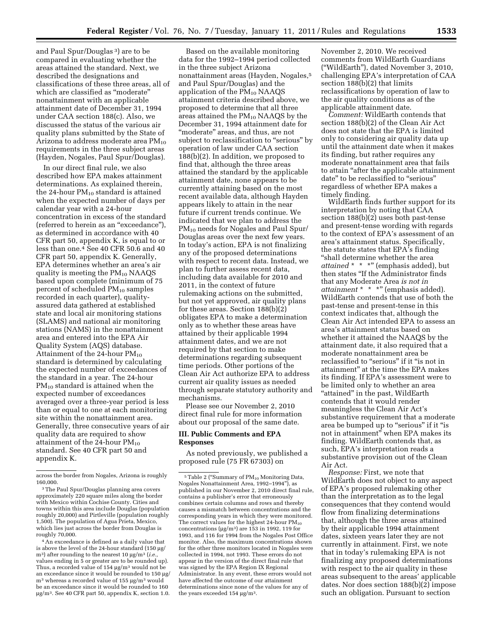and Paul Spur/Douglas 3) are to be compared in evaluating whether the areas attained the standard. Next, we described the designations and classifications of these three areas, all of which are classified as ''moderate'' nonattainment with an applicable attainment date of December 31, 1994 under CAA section 188(c). Also, we discussed the status of the various air quality plans submitted by the State of Arizona to address moderate area  $PM_{10}$ requirements in the three subject areas (Hayden, Nogales, Paul Spur/Douglas).

In our direct final rule, we also described how EPA makes attainment determinations. As explained therein, the 24-hour  $PM_{10}$  standard is attained when the expected number of days per calendar year with a 24-hour concentration in excess of the standard (referred to herein as an ''exceedance''), as determined in accordance with 40 CFR part 50, appendix K, is equal to or less than one.4 See 40 CFR 50.6 and 40 CFR part 50, appendix K. Generally, EPA determines whether an area's air quality is meeting the  $PM_{10}$  NAAQS based upon complete (minimum of 75 percent of scheduled  $PM_{10}$  samples recorded in each quarter), qualityassured data gathered at established state and local air monitoring stations (SLAMS) and national air monitoring stations (NAMS) in the nonattainment area and entered into the EPA Air Quality System (AQS) database. Attainment of the 24-hour PM<sub>10</sub> standard is determined by calculating the expected number of exceedances of the standard in a year. The 24-hour  $PM_{10}$  standard is attained when the expected number of exceedances averaged over a three-year period is less than or equal to one at each monitoring site within the nonattainment area. Generally, three consecutive years of air quality data are required to show attainment of the 24-hour  $PM_{10}$ standard. See 40 CFR part 50 and appendix K.

4An exceedance is defined as a daily value that is above the level of the 24-hour standard (150 μg/ m3) after rounding to the nearest 10 μg/m3 (*i.e.,*  values ending in 5 or greater are to be rounded up). Thus, a recorded value of 154 μg/m3 would not be an exceedance since it would be rounded to 150 μg/ m3 whereas a recorded value of 155 μg/m3 would be an exceedance since it would be rounded to 160 μg/m3. See 40 CFR part 50, appendix K, section 1.0.

Based on the available monitoring data for the 1992–1994 period collected in the three subject Arizona nonattainment areas (Hayden, Nogales,5 and Paul Spur/Douglas) and the application of the  $PM_{10}$  NAAQS attainment criteria described above, we proposed to determine that all three areas attained the  $PM_{10}$  NAAQS by the December 31, 1994 attainment date for "moderate" areas, and thus, are not subject to reclassification to "serious" by operation of law under CAA section 188(b)(2). In addition, we proposed to find that, although the three areas attained the standard by the applicable attainment date, none appears to be currently attaining based on the most recent available data, although Hayden appears likely to attain in the near future if current trends continue. We indicated that we plan to address the PM10 needs for Nogales and Paul Spur/ Douglas areas over the next few years. In today's action, EPA is not finalizing any of the proposed determinations with respect to recent data. Instead, we plan to further assess recent data, including data available for 2010 and 2011, in the context of future rulemaking actions on the submitted, but not yet approved, air quality plans for these areas. Section 188(b)(2) obligates EPA to make a determination only as to whether these areas have attained by their applicable 1994 attainment dates, and we are not required by that section to make determinations regarding subsequent time periods. Other portions of the Clean Air Act authorize EPA to address current air quality issues as needed through separate statutory authority and mechanisms.

Please see our November 2, 2010 direct final rule for more information about our proposal of the same date.

# **III. Public Comments and EPA Responses**

As noted previously, we published a proposed rule (75 FR 67303) on

November 2, 2010. We received comments from WildEarth Guardians (''WildEarth''), dated November 3, 2010, challenging EPA's interpretation of CAA section  $188(b)(2)$  that limits reclassifications by operation of law to the air quality conditions as of the applicable attainment date.

*Comment:* WildEarth contends that section 188(b)(2) of the Clean Air Act does not state that the EPA is limited only to considering air quality data up until the attainment date when it makes its finding, but rather requires any moderate nonattainment area that fails to attain ''after the applicable attainment date'' to be reclassified to ''serious'' regardless of whether EPA makes a timely finding.

WildEarth finds further support for its interpretation by noting that CAA section 188(b)(2) uses both past-tense and present-tense wording with regards to the context of EPA's assessment of an area's attainment status. Specifically, the statute states that EPA's finding ''shall determine whether the area *attained* \* \* \*" (emphasis added), but then states ''If the Administrator finds that any Moderate Area *is not in attainment* \* \* \*" (emphasis added). WildEarth contends that use of both the past-tense and present-tense in this context indicates that, although the Clean Air Act intended EPA to assess an area's attainment status based on whether it attained the NAAQS by the attainment date, it also required that a moderate nonattainment area be reclassified to "serious" if it "is not in attainment'' at the time the EPA makes its finding. If EPA's assessment were to be limited only to whether an area "attained" in the past, WildEarth contends that it would render meaningless the Clean Air Act's substantive requirement that a moderate area be bumped up to "serious" if it "is not in attainment'' when EPA makes its finding. WildEarth contends that, as such, EPA's interpretation reads a substantive provision out of the Clean Air Act.

*Response:* First, we note that WildEarth does not object to any aspect of EPA's proposed rulemaking other than the interpretation as to the legal consequences that they contend would flow from finalizing determinations that, although the three areas attained by their applicable 1994 attainment dates, sixteen years later they are not currently in attainment. First, we note that in today's rulemaking EPA is not finalizing any proposed determinations with respect to the air quality in these areas subsequent to the areas' applicable dates. Nor does section 188(b)(2) impose such an obligation. Pursuant to section

across the border from Nogales, Arizona is roughly 160,000.

<sup>3</sup>The Paul Spur/Douglas planning area covers approximately 220 square miles along the border with Mexico within Cochise County. Cities and towns within this area include Douglas (population roughly 20,000) and Pirtleville (population roughly 1,500). The population of Agua Prieta, Mexico, which lies just across the border from Douglas is roughly 70,000.

 $^5$  Table 2 ("Summary of  $\rm PM_{10}$  Monitoring Data, Nogales Nonattainment Area, 1992–1994''), as published in our November 2, 2010 direct final rule, contains a publisher's error that erroneously combines certain columns and rows and thereby causes a mismatch between concentrations and the corresponding years in which they were monitored. The correct values for the highest 24-hour  $PM_{10}$ concentrations (μg/m3) are 153 in 1992, 119 for 1993, and 116 for 1994 from the Nogales Post Office monitor. Also, the maximum concentrations shown for the other three monitors located in Nogales were collected in 1994, not 1993. These errors do not appear in the version of the direct final rule that was signed by the EPA Region IX Regional Administrator. In any event, these errors would not have affected the outcome of our attainment determinations since none of the values for any of the years exceeded 154 μg/m3.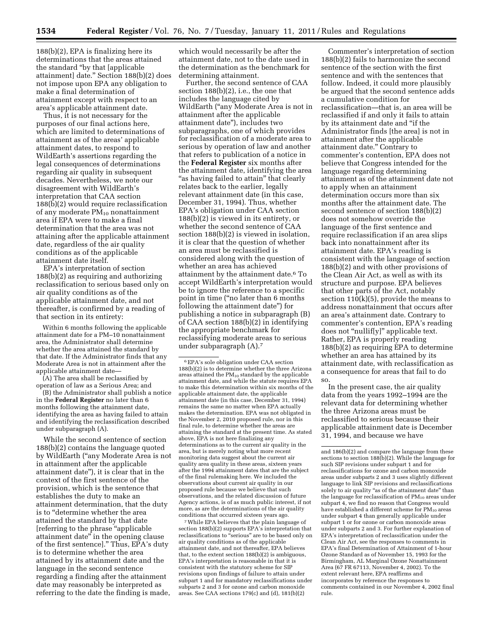188(b)(2), EPA is finalizing here its determinations that the areas attained the standard ''by that [applicable attainment] date.'' Section 188(b)(2) does not impose upon EPA any obligation to make a final determination of attainment except with respect to an area's applicable attainment date.

Thus, it is not necessary for the purposes of our final actions here, which are limited to determinations of attainment as of the areas' applicable attainment dates, to respond to WildEarth's assertions regarding the legal consequences of determinations regarding air quality in subsequent decades. Nevertheless, we note our disagreement with WildEarth's interpretation that CAA section 188(b)(2) would require reclassification of any moderate  $PM_{10}$  nonattainment area if EPA were to make a final determination that the area was not attaining after the applicable attainment date, regardless of the air quality conditions as of the applicable attainment date itself.

EPA's interpretation of section 188(b)(2) as requiring and authorizing reclassification to serious based only on air quality conditions as of the applicable attainment date, and not thereafter, is confirmed by a reading of that section in its entirety:

Within 6 months following the applicable attainment date for a PM–10 nonattainment area, the Administrator shall determine whether the area attained the standard by that date. If the Administrator finds that any Moderate Area is not in attainment after the applicable attainment date—

(A) The area shall be reclassified by operation of law as a Serious Area; and

(B) the Administrator shall publish a notice in the **Federal Register** no later than 6 months following the attainment date, identifying the area as having failed to attain and identifying the reclassification described under subparagraph (A).

While the second sentence of section 188(b)(2) contains the language quoted by WildEarth (''any Moderate Area is not in attainment after the applicable attainment date''), it is clear that in the context of the first sentence of the provision, which is the sentence that establishes the duty to make an attainment determination, that the duty is to "determine whether the area attained the standard by that date [referring to the phrase ''applicable attainment date'' in the opening clause of the first sentence].'' Thus, EPA's duty is to determine whether the area attained by its attainment date and the language in the second sentence regarding a finding after the attainment date may reasonably be interpreted as referring to the date the finding is made,

which would necessarily be after the attainment date, not to the date used in the determination as the benchmark for determining attainment.

Further, the second sentence of CAA section 188(b)(2), i.e., the one that includes the language cited by WildEarth (''any Moderate Area is not in attainment after the applicable attainment date''), includes two subparagraphs, one of which provides for reclassification of a moderate area to serious by operation of law and another that refers to publication of a notice in the **Federal Register** six months after the attainment date, identifying the area "as having failed to attain" that clearly relates back to the earlier, legally relevant attainment date (in this case, December 31, 1994). Thus, whether EPA's obligation under CAA section 188(b)(2) is viewed in its entirety, or whether the second sentence of CAA section 188(b)(2) is viewed in isolation, it is clear that the question of whether an area must be reclassified is considered along with the question of whether an area has achieved attainment by the attainment date.6 To accept WildEarth's interpretation would be to ignore the reference to a specific point in time (''no later than 6 months following the attainment date'') for publishing a notice in subparagraph (B) of CAA section 188(b)(2) in identifying the appropriate benchmark for reclassifying moderate areas to serious under subparagraph (A).7

 $^6\mathrm{EPA}$  's sole obligation under CAA section 188(b)(2) is to determine whether the three Arizona areas attained the  $\rm PM_{10}$  standard by the applicable attainment date, and while the statute requires EPA to make this determination within six months of the applicable attainment date, the applicable attainment date (in this case, December 31, 1994) remains the same no matter when EPA actually makes the determination. EPA was not obligated in the November 2, 2010 proposed rule, nor in this final rule, to determine whether the areas are attaining the standard at the present time. As stated above, EPA is not here finalizing any determinations as to the current air quality in the area, but is merely noting what more recent monitoring data suggest about the current air quality area quality in these areas, sixteen years after the 1994 attainment dates that are the subject of the final rulemaking here. We included the observations about current air quality in our proposed rule because we believe that such observations, and the related discussion of future Agency actions, is of as much public interest, if not more, as are the determinations of the air quality conditions that occurred sixteen years ago.

7While EPA believes that the plain language of section 188(b)(2) supports EPA's interpretation that reclassifications to ''serious'' are to be based only on air quality conditions as of the applicable attainment date, and not thereafter, EPA believes that, to the extent section 188(b)(2) is ambiguous, EPA's interpretation is reasonable in that it is consistent with the statutory scheme for SIP revisions upon findings of failure to attain under subpart 1 and for mandatory reclassifications under subparts 2 and 3 for ozone and carbon monoxide areas. See CAA sections 179(c) and (d), 181(b)(2)

Commenter's interpretation of section 188(b)(2) fails to harmonize the second sentence of the section with the first sentence and with the sentences that follow. Indeed, it could more plausibly be argued that the second sentence adds a cumulative condition for reclassification—that is, an area will be reclassified if and only it fails to attain by its attainment date and ''if the Administrator finds [the area] is not in attainment after the applicable attainment date.'' Contrary to commenter's contention, EPA does not believe that Congress intended for the language regarding determining attainment as of the attainment date not to apply when an attainment determination occurs more than six months after the attainment date. The second sentence of section 188(b)(2) does not somehow override the language of the first sentence and require reclassification if an area slips back into nonattainment after its attainment date. EPA's reading is consistent with the language of section 188(b)(2) and with other provisions of the Clean Air Act, as well as with its structure and purpose. EPA believes that other parts of the Act, notably section 110(k)(5), provide the means to address nonattainment that occurs after an area's attainment date. Contrary to commenter's contention, EPA's reading does not ''nullif[y]'' applicable text. Rather, EPA is properly reading 188(b)(2) as requiring EPA to determine whether an area has attained by its attainment date, with reclassification as a consequence for areas that fail to do so.

In the present case, the air quality data from the years 1992–1994 are the relevant data for determining whether the three Arizona areas must be reclassified to serious because their applicable attainment date is December 31, 1994, and because we have

and 186(b)(2) and compare the language from these sections to section 188(b)(2). While the language for such SIP revisions under subpart 1 and for reclassifications for ozone and carbon monoxide areas under subparts 2 and 3 uses slightly different language to link SIP revisions and reclassifications solely to air quality "as of the attainment date" than the language for reclassification of  $PM_{10}$  areas under subpart 4, we find no reason that Congress would have established a different scheme for PM<sub>10</sub> areas under subpart 4 than generally applicable under subpart 1 or for ozone or carbon monoxide areas under subparts 2 and 3. For further explanation of EPA's interpretation of reclassification under the Clean Air Act, see the responses to comments in EPA's final Determination of Attainment of 1-hour Ozone Standard as of November 15, 1993 for the Birmingham, AL Marginal Ozone Nonattainment Area (67 FR 67113, November 4, 2002). To the extent relevant here, EPA reaffirms and incorporates by reference the responses to comments contained in our November 4, 2002 final rule.